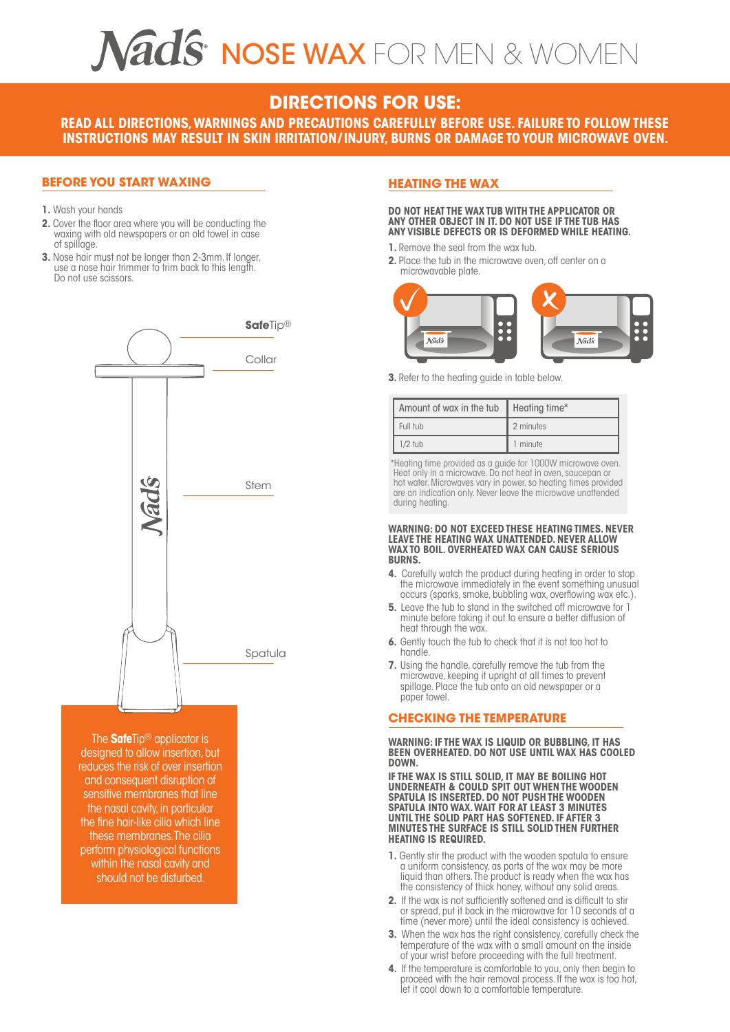## $\widehat{\text{ads}}$  nose wax for men & women

### **DIRECTIONS FOR USE:**

**READ ALL DIRECTIONS,WARNINGS AND PRECAUTIONS CAREFULLY BEFORE USE. FAILURE TO FOLLOW THESE INSTRUCTIONS MAY RESULT IN SKIN IRRITATION/ INJURY, BURNS OR DAMAGE TOYOUR MICROWAVE OVEN.**

#### **BEFORE YOU START WAXING**

- **1.** Wash your hands
- **2.** Cover the floor area where you will be conducting the waxing with old newspapers or an old towel in case of spillage.<br>3. Nose hair must not be longer than 2-3mm. If longer,
- use a nose hair trimmer to trim back to this length.<br>Do not use scissors.



The **Safe**Tip® applicator is designed to allow insertion, but reduces the risk of over insertion and consequent disruption of sensitive membranes that line the nasal cavity, in particular the fine hair-like cilia which line these membranes.The cilia perform physiological functions within the nasal cavity and should not be disturbed.

#### **HEATING THE WAX**

#### **DO NOT HEAT THE WAX TUB WITH THE APPLICATOR OR ANY OTHER OBJECT IN IT. DO NOT USE IF THE TUB HAS ANY VISIBLE DEFECTS OR IS DEFORMED WHILE HEATING.**

- **1.** Remove the seal from the wax tub.
- **2.** Place the tub in the microwave oven, off center on a microwavable plate.



**3.** Refer to the heating guide in table below.

| Amount of wax in the tub | Heating time* |
|--------------------------|---------------|
| Full tub                 | 2 minutes     |
| $1/2$ tub                | minute        |

\*Heating time provided as a guide for 1000W microwave oven. Heat only in a microwave. Do not heat in oven, saucepan or hot water. Microwaves vary in power, so heating times provided are an indication only. Never leave the microwave unattended during heating.

#### **WARNING: DO NOT EXCEED THESE HEATING TIMES. NEVER LEAVE THE HEATING WAX UNATTENDED. NEVER ALLOW WAX TO BOIL. OVERHEATED WAX CAN CAUSE SERIOUS BURNS.**

- **4.** Carefully watch the product during heating in order to stop the microwave immediately in the event something unusual occurs (sparks, smoke, bubbling wax, overflowing wax etc.).<br>5. Leave the tub to stand in the switched off microwave for 1
- **5.** Leave the tub to stand in the switched off microwave for 1 minute before taking it out to ensure a better diffusion of heat through the wax.
- **6.** Gently touch the tub to check that it is not too hot to handle.
- **7.** Using the handle, carefully remove the tub from the microwave, keeping it upright at all times to prevent<br>spillage. Place the tub onto an old newspaper or a paper towel.

#### **CHECKING THE TEMPERATURE**

**WARNING: IF THE WAX IS LIQUID OR BUBBLING, IT HAS BEEN OVERHEATED. DO NOT USE UNTIL WAX HAS COOLED DOWN.**

**IF THE WAX IS STILL SOLID, IT MAY BE BOILING HOT UNDERNEATH & COULD SPIT OUT WHEN THE WOODEN SPATULA IS INSERTED. DO NOT PUSH THE WOODEN SPATULA INTO WAX.WAIT FOR AT LEAST 3 MINUTES UNTIL THE SOLID PART HAS SOFTENED. IF AFTER 3 MINUTES THE SURFACE IS STILL SOLID THEN FURTHER HEATING IS REQUIRED.** 

- **1.** Gently stir the product with the wooden spatula to ensure a uniform consistency, as parts of the wax may be more liquid than others.The product is ready when the wax has the consistency of thick honey, without any solid areas.
- **2.** If the wax is not sufficiently softened and is difficult to stir or spread, put it back in the microwave for 10 seconds at a time (never more) until the ideal consistency is achieved.
- **3.** When the wax has the right consistency, carefully check the temperature of the wax with a small amount on the inside of your wrist before proceeding with the full treatment.
- **4.** If the temperature is comfortable to you, only then begin to proceed with the hair removal process. If the wax is too hot, let it cool down to a comfortable temperature.